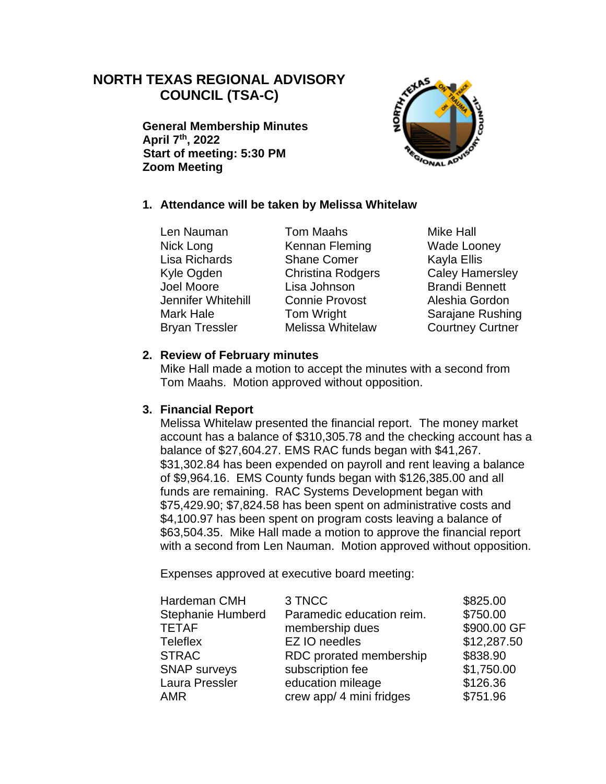# **NORTH TEXAS REGIONAL ADVISORY COUNCIL (TSA-C)**

**General Membership Minutes April 7th, 2022 Start of meeting: 5:30 PM Zoom Meeting**



# **1. Attendance will be taken by Melissa Whitelaw**

Len Nauman Tom Maahs Mike Hall

Nick Long **Kennan Fleming** Wade Looney Lisa Richards Shane Comer Kayla Ellis Kyle Ogden Christina Rodgers Caley Hamersley Joel Moore **Lisa Johnson** Brandi Bennett Jennifer Whitehill Connie Provost Aleshia Gordon Mark Hale **Tom Wright** Sarajane Rushing

Bryan Tressler Melissa Whitelaw Courtney Curtner

# **2. Review of February minutes**

Mike Hall made a motion to accept the minutes with a second from Tom Maahs. Motion approved without opposition.

### **3. Financial Report**

Melissa Whitelaw presented the financial report. The money market account has a balance of \$310,305.78 and the checking account has a balance of \$27,604.27. EMS RAC funds began with \$41,267. \$31,302.84 has been expended on payroll and rent leaving a balance of \$9,964.16. EMS County funds began with \$126,385.00 and all funds are remaining. RAC Systems Development began with \$75,429.90; \$7,824.58 has been spent on administrative costs and \$4,100.97 has been spent on program costs leaving a balance of \$63,504.35. Mike Hall made a motion to approve the financial report with a second from Len Nauman. Motion approved without opposition.

Expenses approved at executive board meeting:

| Hardeman CMH<br>Stephanie Humberd | 3 TNCC<br>Paramedic education reim.           | \$825.00<br>\$750.00 |
|-----------------------------------|-----------------------------------------------|----------------------|
| TETAF                             | membership dues                               | \$900.00 GF          |
| Teleflex                          | EZ IO needles                                 | \$12,287.50          |
| <b>STRAC</b>                      | RDC prorated membership                       | \$838.90             |
| <b>SNAP surveys</b>               | subscription fee                              | \$1,750.00           |
| Laura Pressler<br>AMR             | education mileage<br>crew app/ 4 mini fridges | \$126.36<br>\$751.96 |
|                                   |                                               |                      |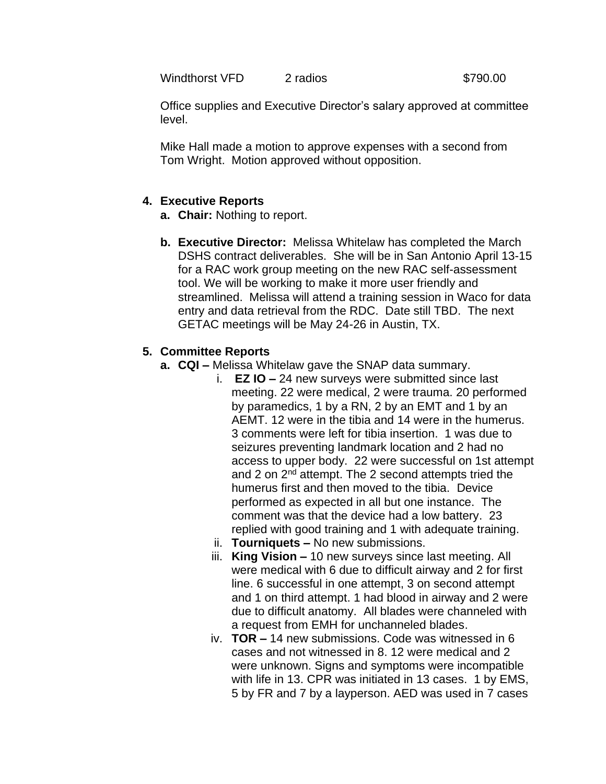Windthorst VFD 2 radios 3790.00

Office supplies and Executive Director's salary approved at committee level.

Mike Hall made a motion to approve expenses with a second from Tom Wright. Motion approved without opposition.

# **4. Executive Reports**

- **a. Chair:** Nothing to report.
- **b. Executive Director:** Melissa Whitelaw has completed the March DSHS contract deliverables. She will be in San Antonio April 13-15 for a RAC work group meeting on the new RAC self-assessment tool. We will be working to make it more user friendly and streamlined. Melissa will attend a training session in Waco for data entry and data retrieval from the RDC. Date still TBD. The next GETAC meetings will be May 24-26 in Austin, TX.

# **5. Committee Reports**

- **a. CQI –** Melissa Whitelaw gave the SNAP data summary.
	- i. **EZ IO –** 24 new surveys were submitted since last meeting. 22 were medical, 2 were trauma. 20 performed by paramedics, 1 by a RN, 2 by an EMT and 1 by an AEMT. 12 were in the tibia and 14 were in the humerus. 3 comments were left for tibia insertion. 1 was due to seizures preventing landmark location and 2 had no access to upper body. 22 were successful on 1st attempt and 2 on 2<sup>nd</sup> attempt. The 2 second attempts tried the humerus first and then moved to the tibia. Device performed as expected in all but one instance. The comment was that the device had a low battery. 23 replied with good training and 1 with adequate training.
	- ii. **Tourniquets –** No new submissions.
	- iii. **King Vision –** 10 new surveys since last meeting. All were medical with 6 due to difficult airway and 2 for first line. 6 successful in one attempt, 3 on second attempt and 1 on third attempt. 1 had blood in airway and 2 were due to difficult anatomy. All blades were channeled with a request from EMH for unchanneled blades.
	- iv. **TOR –** 14 new submissions. Code was witnessed in 6 cases and not witnessed in 8. 12 were medical and 2 were unknown. Signs and symptoms were incompatible with life in 13. CPR was initiated in 13 cases. 1 by EMS, 5 by FR and 7 by a layperson. AED was used in 7 cases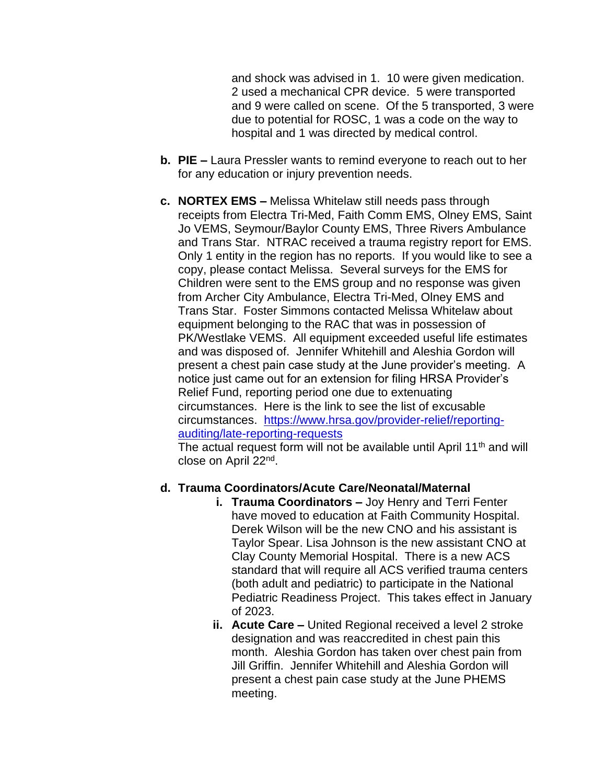and shock was advised in 1. 10 were given medication. 2 used a mechanical CPR device. 5 were transported and 9 were called on scene. Of the 5 transported, 3 were due to potential for ROSC, 1 was a code on the way to hospital and 1 was directed by medical control.

- **b. PIE –** Laura Pressler wants to remind everyone to reach out to her for any education or injury prevention needs.
- **c. NORTEX EMS –** Melissa Whitelaw still needs pass through receipts from Electra Tri-Med, Faith Comm EMS, Olney EMS, Saint Jo VEMS, Seymour/Baylor County EMS, Three Rivers Ambulance and Trans Star. NTRAC received a trauma registry report for EMS. Only 1 entity in the region has no reports. If you would like to see a copy, please contact Melissa. Several surveys for the EMS for Children were sent to the EMS group and no response was given from Archer City Ambulance, Electra Tri-Med, Olney EMS and Trans Star. Foster Simmons contacted Melissa Whitelaw about equipment belonging to the RAC that was in possession of PK/Westlake VEMS. All equipment exceeded useful life estimates and was disposed of. Jennifer Whitehill and Aleshia Gordon will present a chest pain case study at the June provider's meeting. A notice just came out for an extension for filing HRSA Provider's Relief Fund, reporting period one due to extenuating circumstances. Here is the link to see the list of excusable circumstances. [https://www.hrsa.gov/provider-relief/reporting](https://www.hrsa.gov/provider-relief/reporting-auditing/late-reporting-requests)[auditing/late-reporting-requests](https://www.hrsa.gov/provider-relief/reporting-auditing/late-reporting-requests)

The actual request form will not be available until April 11<sup>th</sup> and will close on April 22<sup>nd</sup>.

### **d. Trauma Coordinators/Acute Care/Neonatal/Maternal**

- **i. Trauma Coordinators –** Joy Henry and Terri Fenter have moved to education at Faith Community Hospital. Derek Wilson will be the new CNO and his assistant is Taylor Spear. Lisa Johnson is the new assistant CNO at Clay County Memorial Hospital. There is a new ACS standard that will require all ACS verified trauma centers (both adult and pediatric) to participate in the National Pediatric Readiness Project. This takes effect in January of 2023.
- **ii. Acute Care –** United Regional received a level 2 stroke designation and was reaccredited in chest pain this month. Aleshia Gordon has taken over chest pain from Jill Griffin. Jennifer Whitehill and Aleshia Gordon will present a chest pain case study at the June PHEMS meeting.